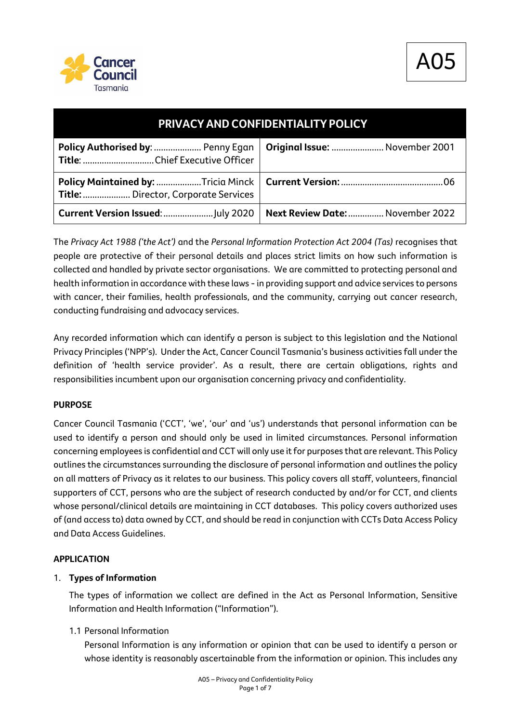

| PRIVACY AND CONFIDENTIALITY POLICY   |                                  |
|--------------------------------------|----------------------------------|
| Policy Authorised by:  Penny Egan    | Original Issue:  November 2001   |
| Title:  Director, Corporate Services |                                  |
|                                      | Next Review Date:  November 2022 |

The *Privacy Act 1988 ('the Act')* and the *Personal Information Protection Act 2004 (Tas)* recognises that people are protective of their personal details and places strict limits on how such information is collected and handled by private sector organisations. We are committed to protecting personal and health information in accordance with these laws - in providing support and advice services to persons with cancer, their families, health professionals, and the community, carrying out cancer research, conducting fundraising and advocacy services.

Any recorded information which can identify a person is subject to this legislation and the National Privacy Principles ('NPP's). Under the Act, Cancer Council Tasmania's business activities fall under the definition of 'health service provider'. As a result, there are certain obligations, rights and responsibilities incumbent upon our organisation concerning privacy and confidentiality.

### **PURPOSE**

Cancer Council Tasmania ('CCT', 'we', 'our' and 'us') understands that personal information can be used to identify a person and should only be used in limited circumstances. Personal information concerning employees is confidential and CCT will only use it for purposes that are relevant. This Policy outlines the circumstances surrounding the disclosure of personal information and outlines the policy on all matters of Privacy as it relates to our business. This policy covers all staff, volunteers, financial supporters of CCT, persons who are the subject of research conducted by and/or for CCT, and clients whose personal/clinical details are maintaining in CCT databases. This policy covers authorized uses of (and access to) data owned by CCT, and should be read in conjunction with CCTs Data Access Policy and Data Access Guidelines.

### **APPLICATION**

### 1. **Types of Information**

The types of information we collect are defined in the Act as Personal Information, Sensitive Information and Health Information ("Information").

### 1.1 Personal Information

Personal Information is any information or opinion that can be used to identify a person or whose identity is reasonably ascertainable from the information or opinion. This includes any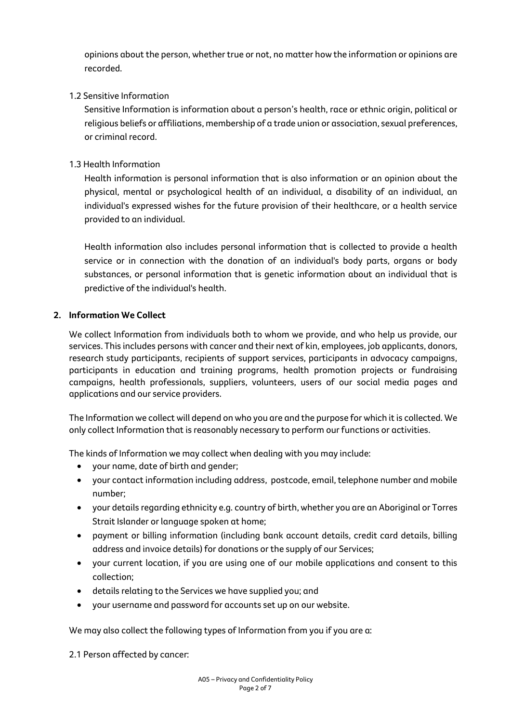opinions about the person, whether true or not, no matter how the information or opinions are recorded.

## 1.2 Sensitive Information

Sensitive Information is information about a person's health, race or ethnic origin, political or religious beliefs or affiliations, membership of a trade union or association, sexual preferences, or criminal record.

## 1.3 Health Information

Health information is personal information that is also information or an opinion about the physical, mental or psychological health of an individual, a disability of an individual, an individual's expressed wishes for the future provision of their healthcare, or a health service provided to an individual.

Health information also includes personal information that is collected to provide a health service or in connection with the donation of an individual's body parts, organs or body substances, or personal information that is genetic information about an individual that is predictive of the individual's health.

## **2. Information We Collect**

We collect Information from individuals both to whom we provide, and who help us provide, our services. This includes persons with cancer and their next of kin, employees, job applicants, donors, research study participants, recipients of support services, participants in advocacy campaigns, participants in education and training programs, health promotion projects or fundraising campaigns, health professionals, suppliers, volunteers, users of our social media pages and applications and our service providers.

The Information we collect will depend on who you are and the purpose for which it is collected. We only collect Information that is reasonably necessary to perform our functions or activities.

The kinds of Information we may collect when dealing with you may include:

- your name, date of birth and gender;
- your contact information including address, postcode, email, telephone number and mobile number;
- your details regarding ethnicity e.g. country of birth, whether you are an Aboriginal or Torres Strait Islander or language spoken at home;
- payment or billing information (including bank account details, credit card details, billing address and invoice details) for donations or the supply of our Services;
- your current location, if you are using one of our mobile applications and consent to this collection;
- details relating to the Services we have supplied you; and
- your username and password for accounts set up on our website.

We may also collect the following types of Information from you if you are a:

2.1 Person affected by cancer: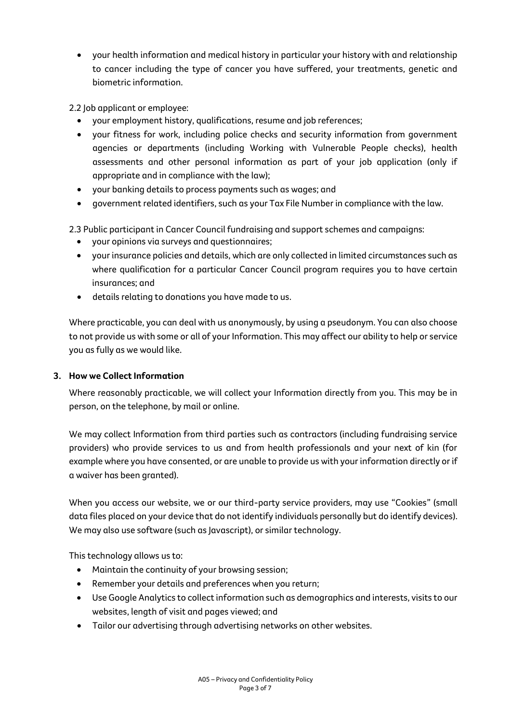- your health information and medical history in particular your history with and relationship to cancer including the type of cancer you have suffered, your treatments, genetic and biometric information.
- 2.2 Job applicant or employee:
	- your employment history, qualifications, resume and job references;
	- your fitness for work, including police checks and security information from government agencies or departments (including Working with Vulnerable People checks), health assessments and other personal information as part of your job application (only if appropriate and in compliance with the law);
	- your banking details to process payments such as wages; and
	- government related identifiers, such as your Tax File Number in compliance with the law.
- 2.3 Public participant in Cancer Council fundraising and support schemes and campaigns:
	- your opinions via surveys and questionnaires;
	- your insurance policies and details, which are only collected in limited circumstances such as where qualification for a particular Cancer Council program requires you to have certain insurances; and
	- details relating to donations you have made to us.

Where practicable, you can deal with us anonymously, by using a pseudonym. You can also choose to not provide us with some or all of your Information. This may affect our ability to help or service you as fully as we would like.

### **3. How we Collect Information**

Where reasonably practicable, we will collect your Information directly from you. This may be in person, on the telephone, by mail or online.

We may collect Information from third parties such as contractors (including fundraising service providers) who provide services to us and from health professionals and your next of kin (for example where you have consented, or are unable to provide us with your information directly or if a waiver has been granted).

When you access our website, we or our third-party service providers, may use "Cookies" (small data files placed on your device that do not identify individuals personally but do identify devices). We may also use software (such as Javascript), or similar technology.

This technology allows us to:

- Maintain the continuity of your browsing session;
- Remember your details and preferences when you return;
- Use Google Analytics to collect information such as demographics and interests, visits to our websites, length of visit and pages viewed; and
- Tailor our advertising through advertising networks on other websites.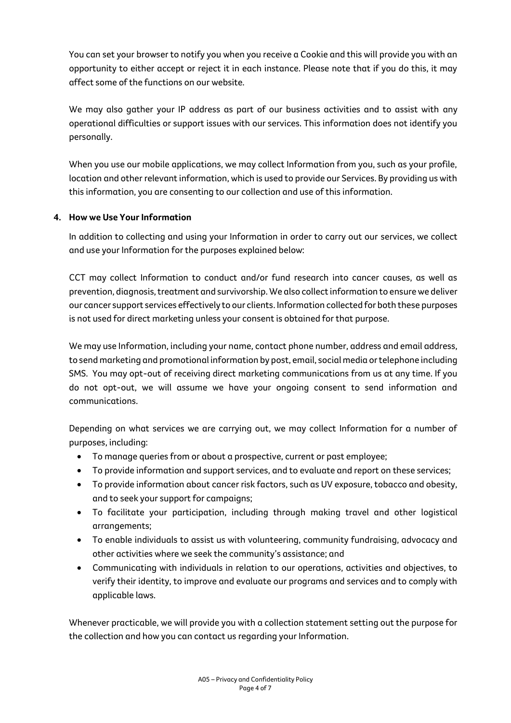You can set your browser to notify you when you receive a Cookie and this will provide you with an opportunity to either accept or reject it in each instance. Please note that if you do this, it may affect some of the functions on our website.

We may also gather your IP address as part of our business activities and to assist with any operational difficulties or support issues with our services. This information does not identify you personally.

When you use our mobile applications, we may collect Information from you, such as your profile, location and other relevant information, which is used to provide our Services. By providing us with this information, you are consenting to our collection and use of this information.

# **4. How we Use Your Information**

In addition to collecting and using your Information in order to carry out our services, we collect and use your Information for the purposes explained below:

CCT may collect Information to conduct and/or fund research into cancer causes, as well as prevention, diagnosis, treatment and survivorship. We also collect information to ensure we deliver our cancer support services effectively to our clients. Information collected for both these purposes is not used for direct marketing unless your consent is obtained for that purpose.

We may use Information, including your name, contact phone number, address and email address, to send marketing and promotional information by post, email, social media or telephone including SMS. You may opt-out of receiving direct marketing communications from us at any time. If you do not opt-out, we will assume we have your ongoing consent to send information and communications.

Depending on what services we are carrying out, we may collect Information for a number of purposes, including:

- To manage queries from or about a prospective, current or past employee;
- To provide information and support services, and to evaluate and report on these services;
- To provide information about cancer risk factors, such as UV exposure, tobacco and obesity, and to seek your support for campaigns;
- To facilitate your participation, including through making travel and other logistical arrangements;
- To enable individuals to assist us with volunteering, community fundraising, advocacy and other activities where we seek the community's assistance; and
- Communicating with individuals in relation to our operations, activities and objectives, to verify their identity, to improve and evaluate our programs and services and to comply with applicable laws.

Whenever practicable, we will provide you with a collection statement setting out the purpose for the collection and how you can contact us regarding your Information.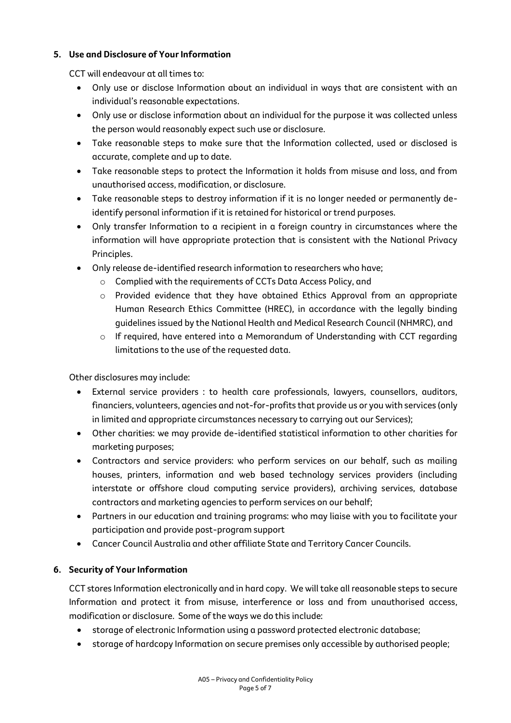## **5. Use and Disclosure of Your Information**

CCT will endeavour at all times to:

- Only use or disclose Information about an individual in ways that are consistent with an individual's reasonable expectations.
- Only use or disclose information about an individual for the purpose it was collected unless the person would reasonably expect such use or disclosure.
- Take reasonable steps to make sure that the Information collected, used or disclosed is accurate, complete and up to date.
- Take reasonable steps to protect the Information it holds from misuse and loss, and from unauthorised access, modification, or disclosure.
- Take reasonable steps to destroy information if it is no longer needed or permanently deidentify personal information if it is retained for historical or trend purposes.
- Only transfer Information to a recipient in a foreign country in circumstances where the information will have appropriate protection that is consistent with the National Privacy Principles.
- Only release de-identified research information to researchers who have;
	- o Complied with the requirements of CCTs Data Access Policy, and
	- o Provided evidence that they have obtained Ethics Approval from an appropriate Human Research Ethics Committee (HREC), in accordance with the legally binding guidelines issued by the National Health and Medical Research Council (NHMRC), and
	- o If required, have entered into a Memorandum of Understanding with CCT regarding limitations to the use of the requested data.

Other disclosures may include:

- External service providers : to health care professionals, lawyers, counsellors, auditors, financiers, volunteers, agencies and not-for-profits that provide us or you with services (only in limited and appropriate circumstances necessary to carrying out our Services);
- Other charities: we may provide de-identified statistical information to other charities for marketing purposes;
- Contractors and service providers: who perform services on our behalf, such as mailing houses, printers, information and web based technology services providers (including interstate or offshore cloud computing service providers), archiving services, database contractors and marketing agencies to perform services on our behalf;
- Partners in our education and training programs: who may liaise with you to facilitate your participation and provide post-program support
- Cancer Council Australia and other affiliate State and Territory Cancer Councils.

# **6. Security of Your Information**

CCT stores Information electronically and in hard copy. We will take all reasonable steps to secure Information and protect it from misuse, interference or loss and from unauthorised access, modification or disclosure. Some of the ways we do this include:

- storage of electronic Information using a password protected electronic database;
- storage of hardcopy Information on secure premises only accessible by authorised people;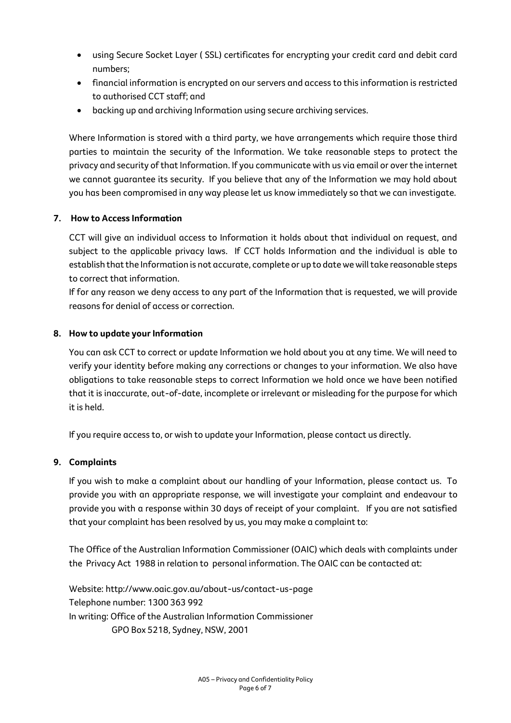- using Secure Socket Layer ( SSL) certificates for encrypting your credit card and debit card numbers;
- financial information is encrypted on our servers and access to this information is restricted to authorised CCT staff; and
- backing up and archiving Information using secure archiving services.

Where Information is stored with a third party, we have arrangements which require those third parties to maintain the security of the Information. We take reasonable steps to protect the privacy and security of that Information. If you communicate with us via email or over the internet we cannot guarantee its security. If you believe that any of the Information we may hold about you has been compromised in any way please let us know immediately so that we can investigate.

# **7. How to Access Information**

CCT will give an individual access to Information it holds about that individual on request, and subject to the applicable privacy laws. If CCT holds Information and the individual is able to establish that the Information is not accurate, complete or up to date we will take reasonable steps to correct that information.

If for any reason we deny access to any part of the Information that is requested, we will provide reasons for denial of access or correction.

## **8. How to update your Information**

You can ask CCT to correct or update Information we hold about you at any time. We will need to verify your identity before making any corrections or changes to your information. We also have obligations to take reasonable steps to correct Information we hold once we have been notified that it is inaccurate, out-of-date, incomplete or irrelevant or misleading for the purpose for which it is held.

If you require access to, or wish to update your Information, please contact us directly.

### **9. Complaints**

If you wish to make a complaint about our handling of your Information, please contact us. To provide you with an appropriate response, we will investigate your complaint and endeavour to provide you with a response within 30 days of receipt of your complaint. If you are not satisfied that your complaint has been resolved by us, you may make a complaint to:

The Office of the Australian Information Commissioner (OAIC) which deals with complaints under the Privacy Act 1988 in relation to personal information. The OAIC can be contacted at:

Website: http://www.oaic.gov.au/about-us/contact-us-page Telephone number: 1300 363 992 In writing: Office of the Australian Information Commissioner GPO Box 5218, Sydney, NSW, 2001